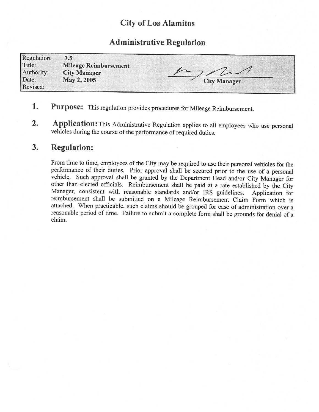## City of Los Alamitos

## Administrative Regulation

| <b>Regulation:</b> | 3.5                          |                     |
|--------------------|------------------------------|---------------------|
| Title:             | <b>Mileage Reimbursement</b> |                     |
| Authority:         | <b>City Manager</b>          |                     |
| Date:              | May 2, 2005                  | <b>City Manager</b> |
| Revised:           |                              |                     |

- 1. Purpose: This regulation provides procedures for Mileage Reimbursement.
- 2. Application: This Administrative Regulation applies to all employees who use personal vehicles during the course of the performance of required duties.

## 3. Regulation:

From time to time, employees of the City may be required to use their personal vehicles for the performance of their duties. Prior approval shall be secured prior to the use of <sup>a</sup> personal vehicle. Such approval shall be granted by the Department Head and/or City Manager for other than elected officials. Reimbursement shall be paid at a rate established by the City<br>Manager, consistent with reasonable standards and/or IRS guidelines. Application for Manager, consistent with reasonable standards and/or IRS guidelines. reimbursement shall be submitted on a Mileage Reimbursement Claim Form which is attached. When practicable, such claims should be grouped for ease of administration over <sup>a</sup> reasonable period of time. Failure to submit <sup>a</sup> complete form shall be grounds for denial of <sup>a</sup> claim.